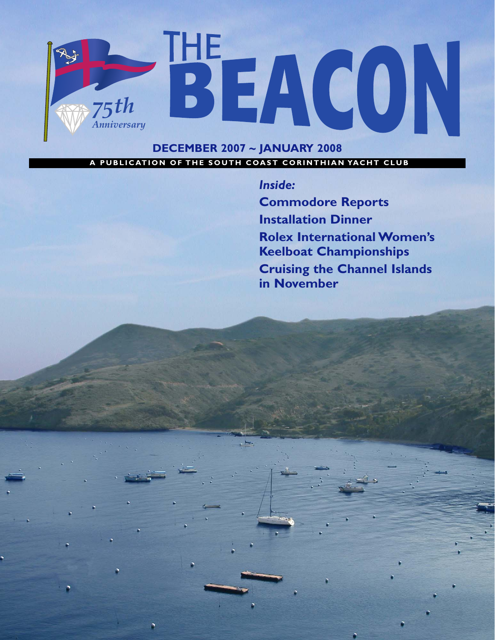

# A PUBLICATION OF THE SOUTH COAST CORINTHIAN YACHT CLUB

*Inside:*

**Commodore Reports Installation Dinner Rolex International Women's Keelboat Championships Cruising the Channel Islands in November**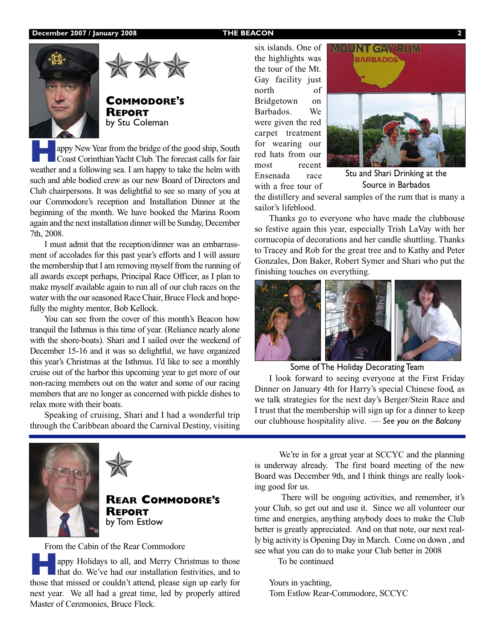



**COMMODORE'S REPORT** by Stu Coleman

**Happy New Year from the bridge of the good ship, South Coast Corinthian Yacht Club. The forecast calls for fair** weather and a following sea. I am happy to take the helm with such and able bodied crew as our new Board of Directors and Club chairpersons. It was delightful to see so many of you at our Commodore's reception and Installation Dinner at the beginning of the month. We have booked the Marina Room again and the next installation dinner will be Sunday, December 7th, 2008.

I must admit that the reception/dinner was an embarrassment of accolades for this past year's efforts and I will assure the membership that I am removing myself from the running of all awards except perhaps, Principal Race Officer, as I plan to make myself available again to run all of our club races on the water with the our seasoned Race Chair, Bruce Fleck and hopefully the mighty mentor, Bob Kellock.

You can see from the cover of this month's Beacon how tranquil the Isthmus is this time of year. (Reliance nearly alone with the shore-boats). Shari and I sailed over the weekend of December 15-16 and it was so delightful, we have organized this year's Christmas at the Isthmus. I'd like to see a monthly cruise out of the harbor this upcoming year to get more of our non-racing members out on the water and some of our racing members that are no longer as concerned with pickle dishes to relax more with their boats.

Speaking of cruising, Shari and I had a wonderful trip through the Caribbean aboard the Carnival Destiny, visiting six islands. One of the highlights was the tour of the Mt. Gay facility just north of Bridgetown on Barbados. We were given the red carpet treatment for wearing our red hats from our most recent Ensenada race with a free tour of



Stu and Shari Drinking at the Source in Barbados

the distillery and several samples of the rum that is many a sailor's lifeblood.

Thanks go to everyone who have made the clubhouse so festive again this year, especially Trish LaVay with her cornucopia of decorations and her candle shuttling. Thanks to Tracey and Rob for the great tree and to Kathy and Peter Gonzales, Don Baker, Robert Symer and Shari who put the finishing touches on everything.



Some of The Holiday Decorating Team

I look forward to seeing everyone at the First Friday Dinner on January 4th for Harry's special Chinese food, as we talk strategies for the next day's Berger/Stein Race and I trust that the membership will sign up for a dinner to keep our clubhouse hospitality alive. — *See you on the Balcony*



**REAR COMMODORE'S REPORT** by Tom Estlow

From the Cabin of the Rear Commodore

appy Holidays to all, and Merry Christmas to those that do. We've had our installation festivities, and to those that missed or couldn't attend, please sign up early for next year. We all had a great time, led by properly attired Master of Ceremonies, Bruce Fleck.

We're in for a great year at SCCYC and the planning is underway already. The first board meeting of the new Board was December 9th, and I think things are really looking good for us.

There will be ongoing activities, and remember, it's your Club, so get out and use it. Since we all volunteer our time and energies, anything anybody does to make the Club better is greatly appreciated. And on that note, our next really big activity is Opening Day in March. Come on down , and see what you can do to make your Club better in 2008

To be continued

Yours in yachting, Tom Estlow Rear-Commodore, SCCYC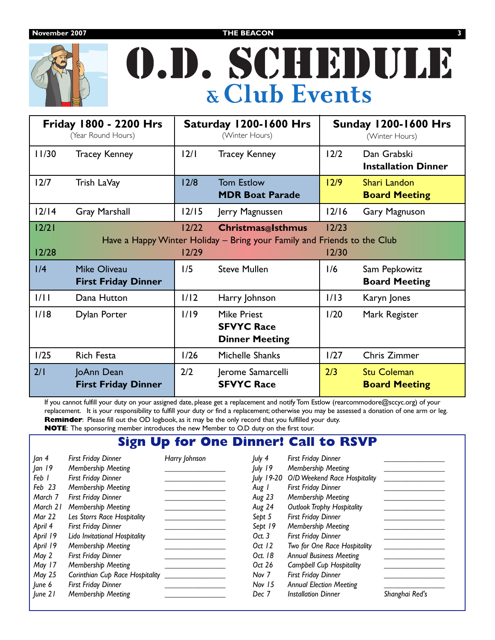

# O.D. SCHEDULE **& Club Events**

| <b>Friday 1800 - 2200 Hrs</b><br>(Year Round Hours)                                                                                                            |                                                   | Saturday 1200-1600 Hrs<br>(Winter Hours) |                                                                  | <b>Sunday 1200-1600 Hrs</b><br>(Winter Hours) |                                            |
|----------------------------------------------------------------------------------------------------------------------------------------------------------------|---------------------------------------------------|------------------------------------------|------------------------------------------------------------------|-----------------------------------------------|--------------------------------------------|
| 11/30                                                                                                                                                          | <b>Tracey Kenney</b>                              | 2/1                                      | <b>Tracey Kenney</b>                                             | 12/2                                          | Dan Grabski<br><b>Installation Dinner</b>  |
| 12/7                                                                                                                                                           | Trish LaVay                                       | 12/8                                     | <b>Tom Estlow</b><br><b>MDR Boat Parade</b>                      | 12/9                                          | Shari Landon<br><b>Board Meeting</b>       |
| 12/14                                                                                                                                                          | <b>Gray Marshall</b>                              | $12/15$                                  | Jerry Magnussen                                                  | 12/16                                         | Gary Magnuson                              |
| $12/21$<br>$12/22$<br>12/23<br><b>Christmas</b> @Isthmus<br>Have a Happy Winter Holiday – Bring your Family and Friends to the Club<br>12/28<br>12/29<br>12/30 |                                                   |                                          |                                                                  |                                               |                                            |
| 1/4                                                                                                                                                            | <b>Mike Oliveau</b><br><b>First Friday Dinner</b> | 1/5                                      | <b>Steve Mullen</b>                                              | 1/6                                           | Sam Pepkowitz<br><b>Board Meeting</b>      |
| 1/11                                                                                                                                                           | Dana Hutton                                       | 1/12                                     | Harry Johnson                                                    | 1/13                                          | Karyn Jones                                |
| 1/18                                                                                                                                                           | Dylan Porter                                      | 1/19                                     | <b>Mike Priest</b><br><b>SFVYC Race</b><br><b>Dinner Meeting</b> | 1/20                                          | Mark Register                              |
| 1/25                                                                                                                                                           | Rich Festa                                        | 1/26                                     | Michelle Shanks                                                  | 1/27                                          | Chris Zimmer                               |
| 2/1                                                                                                                                                            | JoAnn Dean<br><b>First Friday Dinner</b>          | 2/2                                      | Jerome Samarcelli<br><b>SFVYC Race</b>                           | 2/3                                           | <b>Stu Coleman</b><br><b>Board Meeting</b> |

If you cannot fulfill your duty on your assigned date, please get a replacement and notify Tom Estlow (rearcommodore@sccyc.org) of your replacement. It is your responsibility to fulfill your duty or find a replacement; otherwise you may be assessed a donation of one arm or leg. **Reminder:** Please fill out the OD logbook, as it may be the only record that you fulfilled your duty. **NOTE**: The sponsoring member introduces the new Member to O.D duty on the first tour.

## **Sign Up for One Dinner! Call to RSVP**

| Jan 4    | <b>First Friday Dinner</b>      | Harry Johnson | July 4           | <b>First Friday Dinner</b>        |                |
|----------|---------------------------------|---------------|------------------|-----------------------------------|----------------|
| an 19    | Membership Meeting              |               | July 19          | Membership Meeting                |                |
| Feb 1    | <b>First Friday Dinner</b>      |               | July 19-20       | O/D Weekend Race Hospitality      |                |
| Feb 23   | Membership Meeting              |               | Aug 1            | <b>First Friday Dinner</b>        |                |
| March 7  | <b>First Friday Dinner</b>      |               | Aug 23           | Membership Meeting                |                |
| March 21 | Membership Meeting              |               | Aug 24           | <b>Outlook Trophy Hospitality</b> |                |
| Mar 22   | Les Storrs Race Hospitality     |               | Sept 5           | <b>First Friday Dinner</b>        |                |
| April 4  | <b>First Friday Dinner</b>      |               | Sept 19          | Membership Meeting                |                |
| April 19 | Lido Invitational Hospitality   |               | Oct.3            | First Friday Dinner               |                |
| April 19 | Membership Meeting              |               | Oct 12           | Two for One Race Hospitality      |                |
| May 2    | <b>First Friday Dinner</b>      |               | Oct. 18          | <b>Annual Business Meeting</b>    |                |
| May 17   | Membership Meeting              |               | Oct 26           | <b>Campbell Cup Hospitality</b>   |                |
| May 25   | Corinthian Cup Race Hospitality |               | Nov <sub>7</sub> | First Friday Dinner               |                |
| June 6   | <b>First Friday Dinner</b>      |               | Nov 15           | <b>Annual Election Meeting</b>    |                |
| June 21  | Membership Meeting              |               | Dec 7            | <b>Installation Dinner</b>        | Shanghai Red's |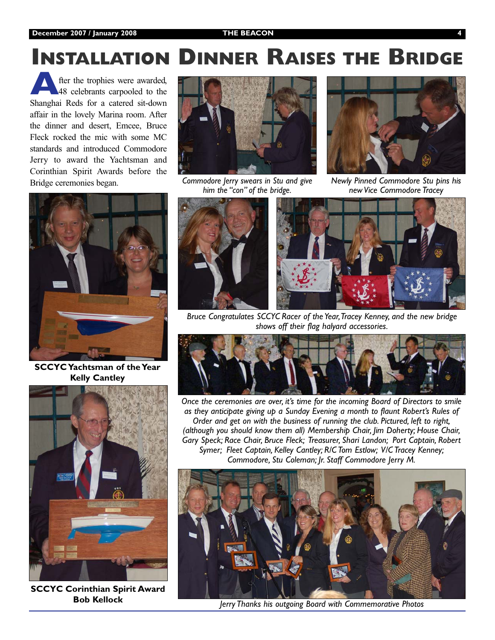# **INSTALLATION DINNER RAISES THE BRIDGE**

fter the trophies were awarded, 48 celebrants carpooled to the Shanghai Reds for a catered sit-down affair in the lovely Marina room. After the dinner and desert, Emcee, Bruce Fleck rocked the mic with some MC standards and introduced Commodore Jerry to award the Yachtsman and Corinthian Spirit Awards before the Bridge ceremonies began.



**SCCYC Yachtsman of the Year Kelly Cantley**



**SCCYC Corinthian Spirit Award Bob Kellock**



*Commodore Jerry swears in Stu and give him the "con" of the bridge.*



*Newly Pinned Commodore Stu pins his new Vice Commodore Tracey*



*Bruce Congratulates SCCYC Racer of the Year,Tracey Kenney, and the new bridge shows off their flag halyard accessories.*



*Once the ceremonies are over, it's time for the incoming Board of Directors to smile as they anticipate giving up a Sunday Evening a month to flaunt Robert's Rules of Order and get on with the business of running the club. Pictured, left to right, (although you should know them all) Membership Chair, Jim Doherty; House Chair, Gary Speck; Race Chair, Bruce Fleck; Treasurer, Shari Landon; Port Captain, Robert Symer; Fleet Captain, Kelley Cantley; R/C Tom Estlow; V/C Tracey Kenney; Commodore, Stu Coleman; Jr. Staff Commodore Jerry M.*



*Jerry Thanks his outgoing Board with Commemorative Photos*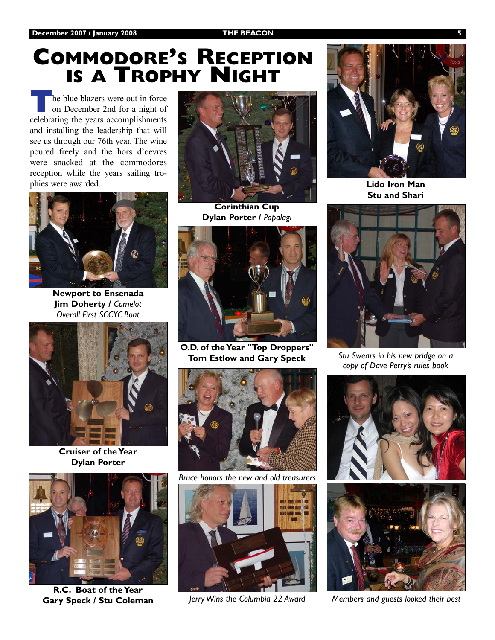## **COMMODORE'S RECEPTION IS A TROPHY NIGHT**

he blue blazers were out in force on December 2nd for a night of celebrating the years accomplishments and installing the leadership that will see us through our 76th year. The wine poured freely and the hors d'oevres were snacked at the commodores reception while the years sailing trophies were awarded.



**Newport to Ensenada Jim Doherty /** *Camelot Overall First SCCYC Boat*



**Cruiser of the Year Dylan Porter**



**R.C. Boat of the Year Gary Speck / Stu Coleman**



**Corinthian Cup Dylan Porter /** *Papalagi*



**O.D. of the Year "Top Droppers" Tom Estlow and Gary Speck** *Stu Swears in his new bridge on a* 



*Bruce honors the new and old treasurers*



*Jerry Wins the Columbia 22 Award Members and guests looked their best*



**Lido Iron Man Stu and Shari**



*copy of Dave Perry's rules book*



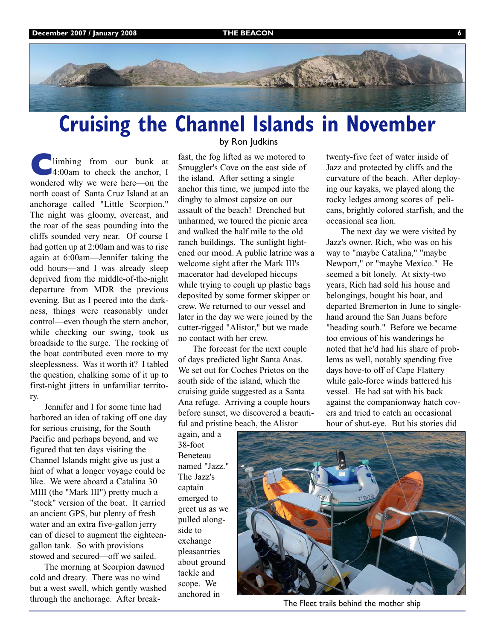

# **Cruising the Channel Islands in November**

limbing from our bunk at 4:00am to check the anchor, I wondered why we were here—on the north coast of Santa Cruz Island at an anchorage called "Little Scorpion." The night was gloomy, overcast, and the roar of the seas pounding into the cliffs sounded very near. Of course I had gotten up at 2:00am and was to rise again at 6:00am—Jennifer taking the odd hours—and I was already sleep deprived from the middle-of-the-night departure from MDR the previous evening. But as I peered into the darkness, things were reasonably under control—even though the stern anchor, while checking our swing, took us broadside to the surge. The rocking of the boat contributed even more to my sleeplessness. Was it worth it? I tabled the question, chalking some of it up to first-night jitters in unfamiliar territory.

Jennifer and I for some time had harbored an idea of taking off one day for serious cruising, for the South Pacific and perhaps beyond, and we figured that ten days visiting the Channel Islands might give us just a hint of what a longer voyage could be like. We were aboard a Catalina 30 MIII (the "Mark III") pretty much a "stock" version of the boat. It carried an ancient GPS, but plenty of fresh water and an extra five-gallon jerry can of diesel to augment the eighteengallon tank. So with provisions stowed and secured—off we sailed.

The morning at Scorpion dawned cold and dreary. There was no wind but a west swell, which gently washed through the anchorage. After break-

## by Ron Judkins

fast, the fog lifted as we motored to Smuggler's Cove on the east side of the island. After setting a single anchor this time, we jumped into the dinghy to almost capsize on our assault of the beach! Drenched but unharmed, we toured the picnic area and walked the half mile to the old ranch buildings. The sunlight lightened our mood. A public latrine was a welcome sight after the Mark III's macerator had developed hiccups while trying to cough up plastic bags deposited by some former skipper or crew. We returned to our vessel and later in the day we were joined by the cutter-rigged "Alistor," but we made no contact with her crew.

The forecast for the next couple of days predicted light Santa Anas. We set out for Coches Prietos on the south side of the island, which the cruising guide suggested as a Santa Ana refuge. Arriving a couple hours before sunset, we discovered a beautiful and pristine beach, the Alistor

again, and a 38-foot Beneteau named "Jazz." The Jazz's captain emerged to greet us as we pulled alongside to exchange pleasantries about ground tackle and scope. We anchored in

twenty-five feet of water inside of Jazz and protected by cliffs and the curvature of the beach. After deploying our kayaks, we played along the rocky ledges among scores of pelicans, brightly colored starfish, and the occasional sea lion.

The next day we were visited by Jazz's owner, Rich, who was on his way to "maybe Catalina," "maybe Newport," or "maybe Mexico." He seemed a bit lonely. At sixty-two years, Rich had sold his house and belongings, bought his boat, and departed Bremerton in June to singlehand around the San Juans before "heading south." Before we became too envious of his wanderings he noted that he'd had his share of problems as well, notably spending five days hove-to off of Cape Flattery while gale-force winds battered his vessel. He had sat with his back against the companionway hatch covers and tried to catch an occasional hour of shut-eye. But his stories did



The Fleet trails behind the mother ship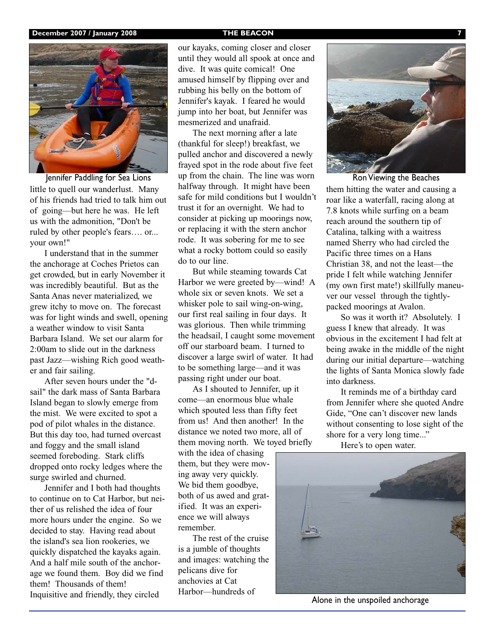

little to quell our wanderlust. Many of his friends had tried to talk him out of going—but here he was. He left us with the admonition, "Don't be ruled by other people's fears…. or... your own!"

I understand that in the summer the anchorage at Coches Prietos can get crowded, but in early November it was incredibly beautiful. But as the Santa Anas never materialized, we grew itchy to move on. The forecast was for light winds and swell, opening a weather window to visit Santa Barbara Island. We set our alarm for 2:00am to slide out in the darkness past Jazz—wishing Rich good weather and fair sailing.

After seven hours under the "dsail" the dark mass of Santa Barbara Island began to slowly emerge from the mist. We were excited to spot a pod of pilot whales in the distance. But this day too, had turned overcast and foggy and the small island seemed foreboding. Stark cliffs dropped onto rocky ledges where the surge swirled and churned.

Jennifer and I both had thoughts to continue on to Cat Harbor, but neither of us relished the idea of four more hours under the engine. So we decided to stay. Having read about the island's sea lion rookeries, we quickly dispatched the kayaks again. And a half mile south of the anchorage we found them. Boy did we find them! Thousands of them! Inquisitive and friendly, they circled

our kayaks, coming closer and closer until they would all spook at once and dive. It was quite comical! One amused himself by flipping over and rubbing his belly on the bottom of Jennifer's kayak. I feared he would jump into her boat, but Jennifer was mesmerized and unafraid.

The next morning after a late (thankful for sleep!) breakfast, we pulled anchor and discovered a newly frayed spot in the rode about five feet up from the chain. The line was worn halfway through. It might have been safe for mild conditions but I wouldn't trust it for an overnight. We had to consider at picking up moorings now, or replacing it with the stern anchor rode. It was sobering for me to see what a rocky bottom could so easily do to our line. Jennifer Paddling for Sea Lions up from the chain. The line was worn Ron Viewing the Beaches

> But while steaming towards Cat Harbor we were greeted by—wind! A whole six or seven knots. We set a whisker pole to sail wing-on-wing, our first real sailing in four days. It was glorious. Then while trimming the headsail, I caught some movement off our starboard beam. I turned to discover a large swirl of water. It had to be something large—and it was passing right under our boat.

As I shouted to Jennifer, up it come—an enormous blue whale which spouted less than fifty feet from us! And then another! In the distance we noted two more, all of them moving north. We toyed briefly

with the idea of chasing them, but they were moving away very quickly. We bid them goodbye, both of us awed and gratified. It was an experience we will always remember.

The rest of the cruise is a jumble of thoughts and images: watching the pelicans dive for anchovies at Cat Harbor—hundreds of



them hitting the water and causing a roar like a waterfall, racing along at 7.8 knots while surfing on a beam reach around the southern tip of Catalina, talking with a waitress named Sherry who had circled the Pacific three times on a Hans Christian 38, and not the least—the pride I felt while watching Jennifer (my own first mate!) skillfully maneuver our vessel through the tightlypacked moorings at Avalon.

So was it worth it? Absolutely. I guess I knew that already. It was obvious in the excitement I had felt at being awake in the middle of the night during our initial departure—watching the lights of Santa Monica slowly fade into darkness.

It reminds me of a birthday card from Jennifer where she quoted Andre Gide, "One can't discover new lands without consenting to lose sight of the shore for a very long time..."

Here's to open water.



Alone in the unspoiled anchorage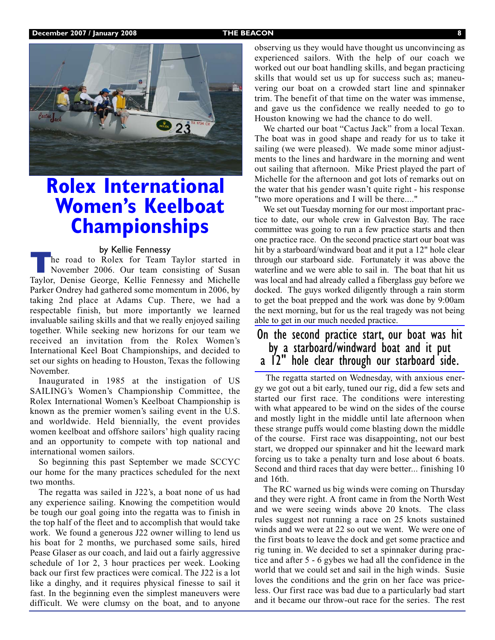

## **Rolex International Women's Keelboat Championships**

**by Kellie Fennessy**<br>
The road to Rolex for Team Taylor started in<br>
November 2006. Our team consisting of Susan<br>
Taylor Danise George Kellie Fennessy and Michelle Taylor, Denise George, Kellie Fennessy and Michelle Parker Ondrey had gathered some momentum in 2006, by taking 2nd place at Adams Cup. There, we had a respectable finish, but more importantly we learned invaluable sailing skills and that we really enjoyed sailing together. While seeking new horizons for our team we received an invitation from the Rolex Women's International Keel Boat Championships, and decided to set our sights on heading to Houston, Texas the following November.

Inaugurated in 1985 at the instigation of US SAILING's Women's Championship Committee, the Rolex International Women's Keelboat Championship is known as the premier women's sailing event in the U.S. and worldwide. Held biennially, the event provides women keelboat and offshore sailors' high quality racing and an opportunity to compete with top national and international women sailors.

So beginning this past September we made SCCYC our home for the many practices scheduled for the next two months.

The regatta was sailed in J22's, a boat none of us had any experience sailing. Knowing the competition would be tough our goal going into the regatta was to finish in the top half of the fleet and to accomplish that would take work. We found a generous J22 owner willing to lend us his boat for 2 months, we purchased some sails, hired Pease Glaser as our coach, and laid out a fairly aggressive schedule of 1or 2, 3 hour practices per week. Looking back our first few practices were comical. The J22 is a lot like a dinghy, and it requires physical finesse to sail it fast. In the beginning even the simplest maneuvers were difficult. We were clumsy on the boat, and to anyone

observing us they would have thought us unconvincing as experienced sailors. With the help of our coach we worked out our boat handling skills, and began practicing skills that would set us up for success such as; maneuvering our boat on a crowded start line and spinnaker trim. The benefit of that time on the water was immense, and gave us the confidence we really needed to go to Houston knowing we had the chance to do well.

We charted our boat "Cactus Jack" from a local Texan. The boat was in good shape and ready for us to take it sailing (we were pleased). We made some minor adjustments to the lines and hardware in the morning and went out sailing that afternoon. Mike Priest played the part of Michelle for the afternoon and got lots of remarks out on the water that his gender wasn't quite right - his response "two more operations and I will be there...."

We set out Tuesday morning for our most important practice to date, our whole crew in Galveston Bay. The race committee was going to run a few practice starts and then one practice race. On the second practice start our boat was hit by a starboard/windward boat and it put a 12" hole clear through our starboard side. Fortunately it was above the waterline and we were able to sail in. The boat that hit us was local and had already called a fiberglass guy before we docked. The guys worked diligently through a rain storm to get the boat prepped and the work was done by 9:00am the next morning, but for us the real tragedy was not being able to get in our much needed practice.

## On the second practice start, our boat was hit by a starboard/windward boat and it put a 12" hole clear through our starboard side.

The regatta started on Wednesday, with anxious energy we got out a bit early, tuned our rig, did a few sets and started our first race. The conditions were interesting with what appeared to be wind on the sides of the course and mostly light in the middle until late afternoon when these strange puffs would come blasting down the middle of the course. First race was disappointing, not our best start, we dropped our spinnaker and hit the leeward mark forcing us to take a penalty turn and lose about 6 boats. Second and third races that day were better... finishing 10 and 16th.

The RC warned us big winds were coming on Thursday and they were right. A front came in from the North West and we were seeing winds above 20 knots. The class rules suggest not running a race on 25 knots sustained winds and we were at 22 so out we went. We were one of the first boats to leave the dock and get some practice and rig tuning in. We decided to set a spinnaker during practice and after 5 - 6 gybes we had all the confidence in the world that we could set and sail in the high winds. Susie loves the conditions and the grin on her face was priceless. Our first race was bad due to a particularly bad start and it became our throw-out race for the series. The rest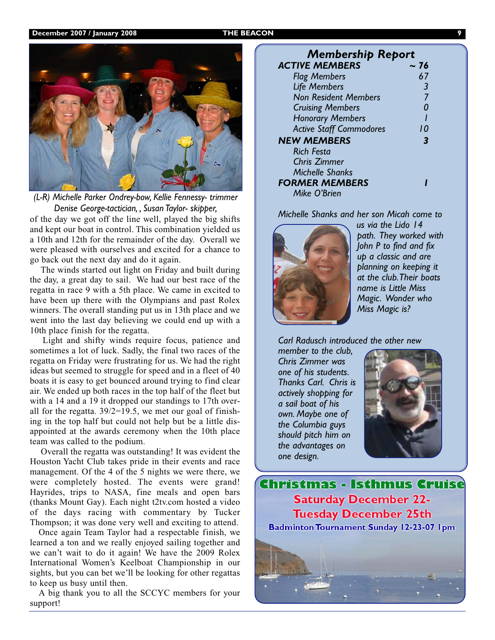

*(L-R) Michelle Parker Ondrey-bow, Kellie Fennessy- trimmer Denise George-tactician, , Susan Taylor- skipper,*

of the day we got off the line well, played the big shifts and kept our boat in control. This combination yielded us a 10th and 12th for the remainder of the day. Overall we were pleased with ourselves and excited for a chance to go back out the next day and do it again.

The winds started out light on Friday and built during the day, a great day to sail. We had our best race of the regatta in race 9 with a 5th place. We came in excited to have been up there with the Olympians and past Rolex winners. The overall standing put us in 13th place and we went into the last day believing we could end up with a 10th place finish for the regatta.

Light and shifty winds require focus, patience and sometimes a lot of luck. Sadly, the final two races of the regatta on Friday were frustrating for us. We had the right ideas but seemed to struggle for speed and in a fleet of 40 boats it is easy to get bounced around trying to find clear air. We ended up both races in the top half of the fleet but with a 14 and a 19 it dropped our standings to 17th overall for the regatta.  $39/2=19.5$ , we met our goal of finishing in the top half but could not help but be a little disappointed at the awards ceremony when the 10th place team was called to the podium.

Overall the regatta was outstanding! It was evident the Houston Yacht Club takes pride in their events and race management. Of the 4 of the 5 nights we were there, we were completely hosted. The events were grand! Hayrides, trips to NASA, fine meals and open bars (thanks Mount Gay). Each night t2tv.com hosted a video of the days racing with commentary by Tucker Thompson; it was done very well and exciting to attend.

Once again Team Taylor had a respectable finish, we learned a ton and we really enjoyed sailing together and we can't wait to do it again! We have the 2009 Rolex International Women's Keelboat Championship in our sights, but you can bet we'll be looking for other regattas to keep us busy until then.

A big thank you to all the SCCYC members for your support!

## *Membership Report* **ACTIVE MEMBERS** *Flag Members 67*

| <b>Flag Members</b>            |    |
|--------------------------------|----|
| <b>Life Members</b>            | 3  |
| <b>Non Resident Members</b>    |    |
| <b>Cruising Members</b>        |    |
| <b>Honorary Members</b>        |    |
| <b>Active Staff Commodores</b> | 10 |
| <b>NEW MEMBERS</b>             | З  |
| <b>Rich Festa</b>              |    |
| <b>Chris Zimmer</b>            |    |
| Michelle Shanks                |    |
| <b>FORMER MEMBERS</b>          |    |
| Mike O'Brien                   |    |
|                                |    |

*Michelle Shanks and her son Micah come to*



*us via the Lido 14 path. They worked with John P to find and fix up a classic and are planning on keeping it at the club.Their boats name is Little Miss Magic. Wonder who Miss Magic is?*

*Carl Radusch introduced the other new*

*member to the club, Chris Zimmer was one of his students. Thanks Carl. Chris is actively shopping for a sail boat of his own. Maybe one of the Columbia guys should pitch him on the advantages on one design.*